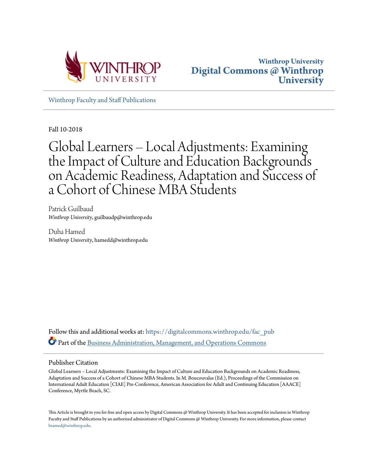



[Winthrop Faculty and Staff Publications](https://digitalcommons.winthrop.edu/fac_pub?utm_source=digitalcommons.winthrop.edu%2Ffac_pub%2F81&utm_medium=PDF&utm_campaign=PDFCoverPages)

Fall 10-2018

# Global Learners – Local Adjustments: Examining the Impact of Culture and Education Backgrounds on Academic Readiness, Adaptation and Success of a Cohort of Chinese MBA Students

Patrick Guilbaud *Winthrop University*, guilbaudp@winthrop.edu

Duha Hamed *Winthrop University*, hamedd@winthrop.edu

Follow this and additional works at: [https://digitalcommons.winthrop.edu/fac\\_pub](https://digitalcommons.winthrop.edu/fac_pub?utm_source=digitalcommons.winthrop.edu%2Ffac_pub%2F81&utm_medium=PDF&utm_campaign=PDFCoverPages) Part of the [Business Administration, Management, and Operations Commons](http://network.bepress.com/hgg/discipline/623?utm_source=digitalcommons.winthrop.edu%2Ffac_pub%2F81&utm_medium=PDF&utm_campaign=PDFCoverPages)

#### Publisher Citation

Global Learners – Local Adjustments: Examining the Impact of Culture and Education Backgrounds on Academic Readiness, Adaptation and Success of a Cohort of Chinese MBA Students. In M. Boucouvalas (Ed.), Proceedings of the Commission on International Adult Education [CIAE] Pre-Conference, American Association for Adult and Continuing Education [AAACE] Conference, Myrtle Beach, SC.

This Article is brought to you for free and open access by Digital Commons @ Winthrop University. It has been accepted for inclusion in Winthrop Faculty and Staff Publications by an authorized administrator of Digital Commons @ Winthrop University. For more information, please contact [bramed@winthrop.edu.](mailto:bramed@winthrop.edu)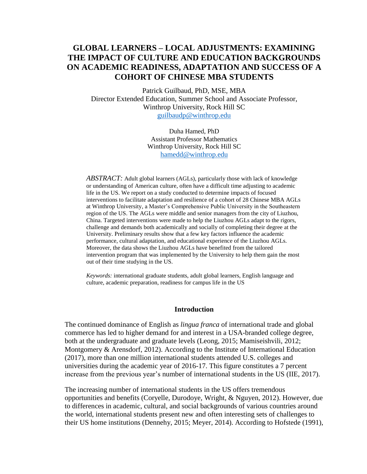## **GLOBAL LEARNERS – LOCAL ADJUSTMENTS: EXAMINING THE IMPACT OF CULTURE AND EDUCATION BACKGROUNDS ON ACADEMIC READINESS, ADAPTATION AND SUCCESS OF A COHORT OF CHINESE MBA STUDENTS**

Patrick Guilbaud, PhD, MSE, MBA Director Extended Education, Summer School and Associate Professor, Winthrop University, Rock Hill SC [guilbaudp@winthrop.edu](mailto:guilbaudp@winthrop.edu)

> Duha Hamed, PhD Assistant Professor Mathematics Winthrop University, Rock Hill SC [hamedd@winthrop.edu](mailto:hamedd@winthrop.edu)

*ABSTRACT:* Adult global learners (AGLs), particularly those with lack of knowledge or understanding of American culture, often have a difficult time adjusting to academic life in the US. We report on a study conducted to determine impacts of focused interventions to facilitate adaptation and resilience of a cohort of 28 Chinese MBA AGLs at Winthrop University, a Master's Comprehensive Public University in the Southeastern region of the US. The AGLs were middle and senior managers from the city of Liuzhou, China. Targeted interventions were made to help the Liuzhou AGLs adapt to the rigors, challenge and demands both academically and socially of completing their degree at the University. Preliminary results show that a few key factors influence the academic performance, cultural adaptation, and educational experience of the Liuzhou AGLs. Moreover, the data shows the Liuzhou AGLs have benefited from the tailored intervention program that was implemented by the University to help them gain the most out of their time studying in the US.

*Keywords:* international graduate students, adult global learners, English language and culture, academic preparation, readiness for campus life in the US

#### **Introduction**

The continued dominance of English as *lingua franca* of international trade and global commerce has led to higher demand for and interest in a USA-branded college degree, both at the undergraduate and graduate levels (Leong, 2015; Mamiseishvili, 2012; Montgomery & Arensdorf, 2012). According to the Institute of International Education (2017), more than one million international students attended U.S. colleges and universities during the academic year of 2016-17. This figure constitutes a 7 percent increase from the previous year's number of international students in the US (IIE, 2017).

The increasing number of international students in the US offers tremendous opportunities and benefits (Coryelle, Durodoye, Wright, & Nguyen, 2012). However, due to differences in academic, cultural, and social backgrounds of various countries around the world, international students present new and often interesting sets of challenges to their US home institutions (Dennehy, 2015; Meyer, 2014). According to Hofstede (1991),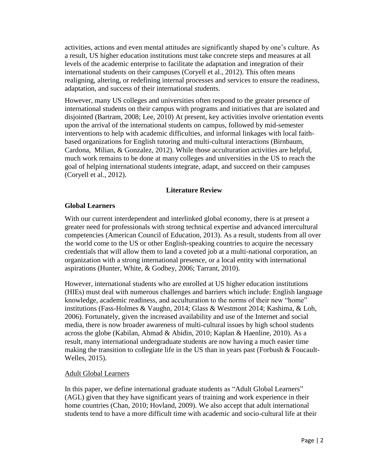activities, actions and even mental attitudes are significantly shaped by one's culture. As a result, US higher education institutions must take concrete steps and measures at all levels of the academic enterprise to facilitate the adaptation and integration of their international students on their campuses (Coryell et al., 2012). This often means realigning, altering, or redefining internal processes and services to ensure the readiness, adaptation, and success of their international students.

However, many US colleges and universities often respond to the greater presence of international students on their campus with programs and initiatives that are isolated and disjointed (Bartram, 2008; Lee, 2010) At present, key activities involve orientation events upon the arrival of the international students on campus, followed by mid-semester interventions to help with academic difficulties, and informal linkages with local faithbased organizations for English tutoring and multi-cultural interactions (Birnbaum, Cardona, Milian, & Gonzalez, 2012). While those acculturation activities are helpful, much work remains to be done at many colleges and universities in the US to reach the goal of helping international students integrate, adapt, and succeed on their campuses (Coryell et al., 2012).

#### **Literature Review**

#### **Global Learners**

With our current interdependent and interlinked global economy, there is at present a greater need for professionals with strong technical expertise and advanced intercultural competencies (American Council of Education, 2013). As a result, students from all over the world come to the US or other English-speaking countries to acquire the necessary credentials that will allow them to land a coveted job at a multi-national corporation, an organization with a strong international presence, or a local entity with international aspirations (Hunter, White, & Godbey, 2006; Tarrant, 2010).

However, international students who are enrolled at US higher education institutions (HIEs) must deal with numerous challenges and barriers which include: English language knowledge, academic readiness, and acculturation to the norms of their new "home" institutions (Fass-Holmes & Vaughn, 2014; Glass & Westmont 2014; Kashima, & Loh, 2006). Fortunately, given the increased availability and use of the Internet and social media, there is now broader awareness of multi-cultural issues by high school students across the globe (Kabilan, Ahmad & Abidin, 2010; Kaplan & Haenline, 2010). As a result, many international undergraduate students are now having a much easier time making the transition to collegiate life in the US than in years past (Forbush  $& Foucault-$ Welles, 2015).

#### Adult Global Learners

In this paper, we define international graduate students as "Adult Global Learners" (AGL) given that they have significant years of training and work experience in their home countries (Chan, 2010; Hovland, 2009). We also accept that adult international students tend to have a more difficult time with academic and socio-cultural life at their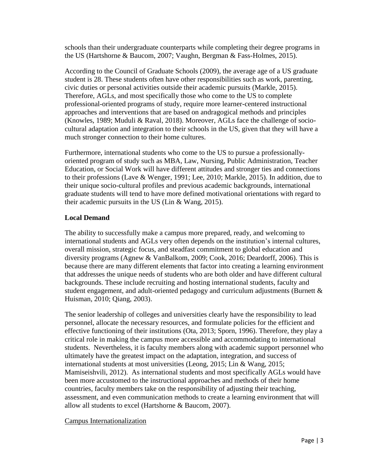schools than their undergraduate counterparts while completing their degree programs in the US (Hartshorne & Baucom, 2007; Vaughn, Bergman & Fass-Holmes, 2015).

According to the Council of Graduate Schools (2009), the average age of a US graduate student is 28. These students often have other responsibilities such as work, parenting, civic duties or personal activities outside their academic pursuits (Markle, 2015). Therefore, AGLs, and most specifically those who come to the US to complete professional-oriented programs of study, require more learner-centered instructional approaches and interventions that are based on andragogical methods and principles (Knowles, 1989; Muduli & Raval, 2018). Moreover, AGLs face the challenge of sociocultural adaptation and integration to their schools in the US, given that they will have a much stronger connection to their home cultures.

Furthermore, international students who come to the US to pursue a professionallyoriented program of study such as MBA, Law, Nursing, Public Administration, Teacher Education, or Social Work will have different attitudes and stronger ties and connections to their professions (Lave & Wenger, 1991; Lee, 2010; Markle, 2015). In addition, due to their unique socio-cultural profiles and previous academic backgrounds, international graduate students will tend to have more defined motivational orientations with regard to their academic pursuits in the US (Lin & Wang, 2015).

## **Local Demand**

The ability to successfully make a campus more prepared, ready, and welcoming to international students and AGLs very often depends on the institution's internal cultures, overall mission, strategic focus, and steadfast commitment to global education and diversity programs (Agnew & VanBalkom, 2009; Cook, 2016; Deardorff, 2006). This is because there are many different elements that factor into creating a learning environment that addresses the unique needs of students who are both older and have different cultural backgrounds. These include recruiting and hosting international students, faculty and student engagement, and adult-oriented pedagogy and curriculum adjustments (Burnett  $\&$ Huisman, 2010; Qiang, 2003).

The senior leadership of colleges and universities clearly have the responsibility to lead personnel, allocate the necessary resources, and formulate policies for the efficient and effective functioning of their institutions (Ota, 2013; Sporn, 1996). Therefore, they play a critical role in making the campus more accessible and accommodating to international students. Nevertheless, it is faculty members along with academic support personnel who ultimately have the greatest impact on the adaptation, integration, and success of international students at most universities (Leong, 2015; Lin & Wang, 2015; Mamiseishvili, 2012). As international students and most specifically AGLs would have been more accustomed to the instructional approaches and methods of their home countries, faculty members take on the responsibility of adjusting their teaching, assessment, and even communication methods to create a learning environment that will allow all students to excel (Hartshorne & Baucom, 2007).

#### Campus Internationalization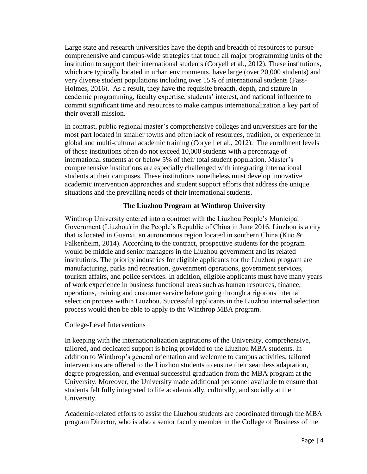Large state and research universities have the depth and breadth of resources to pursue comprehensive and campus-wide strategies that touch all major programming units of the institution to support their international students (Coryell et al., 2012). These institutions, which are typically located in urban environments, have large (over 20,000 students) and very diverse student populations including over 15% of international students (Fass-Holmes, 2016). As a result, they have the requisite breadth, depth, and stature in academic programming, faculty expertise, students' interest, and national influence to commit significant time and resources to make campus internationalization a key part of their overall mission.

In contrast, public regional master's comprehensive colleges and universities are for the most part located in smaller towns and often lack of resources, tradition, or experience in global and multi-cultural academic training (Coryell et al., 2012). The enrollment levels of those institutions often do not exceed 10,000 students with a percentage of international students at or below 5% of their total student population. Master's comprehensive institutions are especially challenged with integrating international students at their campuses. These institutions nonetheless must develop innovative academic intervention approaches and student support efforts that address the unique situations and the prevailing needs of their international students.

## **The Liuzhou Program at Winthrop University**

Winthrop University entered into a contract with the Liuzhou People's Municipal Government (Liuzhou) in the People's Republic of China in June 2016. Liuzhou is a city that is located in Guanxi, an autonomous region located in southern China (Kuo & Falkenheim, 2014). According to the contract, prospective students for the program would be middle and senior managers in the Liuzhou government and its related institutions. The priority industries for eligible applicants for the Liuzhou program are manufacturing, parks and recreation, government operations, government services, tourism affairs, and police services. In addition, eligible applicants must have many years of work experience in business functional areas such as human resources, finance, operations, training and customer service before going through a rigorous internal selection process within Liuzhou. Successful applicants in the Liuzhou internal selection process would then be able to apply to the Winthrop MBA program.

#### College-Level Interventions

In keeping with the internationalization aspirations of the University, comprehensive, tailored, and dedicated support is being provided to the Liuzhou MBA students. In addition to Winthrop's general orientation and welcome to campus activities, tailored interventions are offered to the Liuzhou students to ensure their seamless adaptation, degree progression, and eventual successful graduation from the MBA program at the University. Moreover, the University made additional personnel available to ensure that students felt fully integrated to life academically, culturally, and socially at the University.

Academic-related efforts to assist the Liuzhou students are coordinated through the MBA program Director, who is also a senior faculty member in the College of Business of the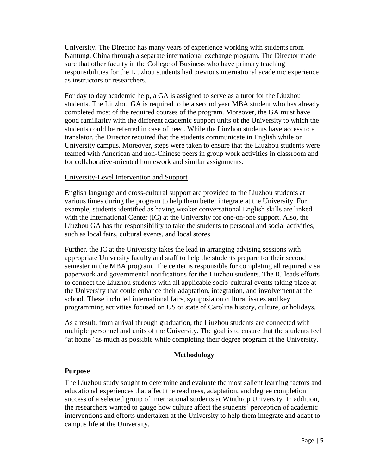University. The Director has many years of experience working with students from Nantung, China through a separate international exchange program. The Director made sure that other faculty in the College of Business who have primary teaching responsibilities for the Liuzhou students had previous international academic experience as instructors or researchers.

For day to day academic help, a GA is assigned to serve as a tutor for the Liuzhou students. The Liuzhou GA is required to be a second year MBA student who has already completed most of the required courses of the program. Moreover, the GA must have good familiarity with the different academic support units of the University to which the students could be referred in case of need. While the Liuzhou students have access to a translator, the Director required that the students communicate in English while on University campus. Moreover, steps were taken to ensure that the Liuzhou students were teamed with American and non-Chinese peers in group work activities in classroom and for collaborative-oriented homework and similar assignments.

#### University-Level Intervention and Support

English language and cross-cultural support are provided to the Liuzhou students at various times during the program to help them better integrate at the University. For example, students identified as having weaker conversational English skills are linked with the International Center (IC) at the University for one-on-one support. Also, the Liuzhou GA has the responsibility to take the students to personal and social activities, such as local fairs, cultural events, and local stores.

Further, the IC at the University takes the lead in arranging advising sessions with appropriate University faculty and staff to help the students prepare for their second semester in the MBA program. The center is responsible for completing all required visa paperwork and governmental notifications for the Liuzhou students. The IC leads efforts to connect the Liuzhou students with all applicable socio-cultural events taking place at the University that could enhance their adaptation, integration, and involvement at the school. These included international fairs, symposia on cultural issues and key programming activities focused on US or state of Carolina history, culture, or holidays.

As a result, from arrival through graduation, the Liuzhou students are connected with multiple personnel and units of the University. The goal is to ensure that the students feel "at home" as much as possible while completing their degree program at the University.

#### **Methodology**

#### **Purpose**

The Liuzhou study sought to determine and evaluate the most salient learning factors and educational experiences that affect the readiness, adaptation, and degree completion success of a selected group of international students at Winthrop University. In addition, the researchers wanted to gauge how culture affect the students' perception of academic interventions and efforts undertaken at the University to help them integrate and adapt to campus life at the University.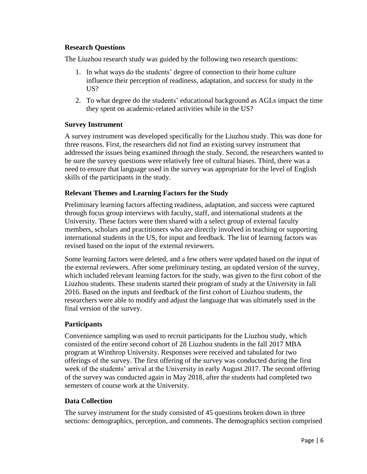#### **Research Questions**

The Liuzhou research study was guided by the following two research questions:

- 1. In what ways do the students' degree of connection to their home culture influence their perception of readiness, adaptation, and success for study in the US?
- 2. To what degree do the students' educational background as AGLs impact the time they spent on academic-related activities while in the US?

#### **Survey Instrument**

A survey instrument was developed specifically for the Liuzhou study. This was done for three reasons. First, the researchers did not find an existing survey instrument that addressed the issues being examined through the study. Second, the researchers wanted to be sure the survey questions were relatively free of cultural biases. Third, there was a need to ensure that language used in the survey was appropriate for the level of English skills of the participants in the study.

#### **Relevant Themes and Learning Factors for the Study**

Preliminary learning factors affecting readiness, adaptation, and success were captured through focus group interviews with faculty, staff, and international students at the University. These factors were then shared with a select group of external faculty members, scholars and practitioners who are directly involved in teaching or supporting international students in the US, for input and feedback. The list of learning factors was revised based on the input of the external reviewers.

Some learning factors were deleted, and a few others were updated based on the input of the external reviewers. After some preliminary testing, an updated version of the survey, which included relevant learning factors for the study, was given to the first cohort of the Liuzhou students. These students started their program of study at the University in fall 2016. Based on the inputs and feedback of the first cohort of Liuzhou students, the researchers were able to modify and adjust the language that was ultimately used in the final version of the survey.

## **Participants**

Convenience sampling was used to recruit participants for the Liuzhou study, which consisted of the entire second cohort of 28 Liuzhou students in the fall 2017 MBA program at Winthrop University. Responses were received and tabulated for two offerings of the survey. The first offering of the survey was conducted during the first week of the students' arrival at the University in early August 2017. The second offering of the survey was conducted again in May 2018, after the students had completed two semesters of course work at the University.

#### **Data Collection**

The survey instrument for the study consisted of 45 questions broken down in three sections: demographics, perception, and comments. The demographics section comprised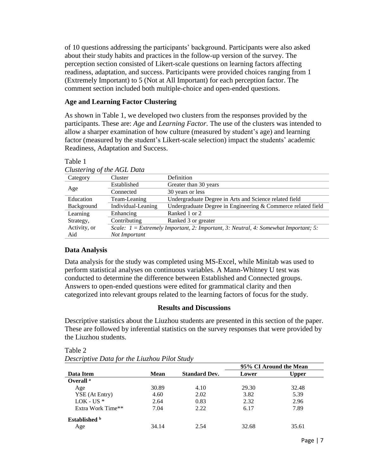of 10 questions addressing the participants' background. Participants were also asked about their study habits and practices in the follow-up version of the survey. The perception section consisted of Likert-scale questions on learning factors affecting readiness, adaptation, and success. Participants were provided choices ranging from 1 (Extremely Important) to 5 (Not at All Important) for each perception factor. The comment section included both multiple-choice and open-ended questions.

### **Age and Learning Factor Clustering**

As shown in Table 1, we developed two clusters from the responses provided by the participants. These are: *Age* and *Learning Factor*. The use of the clusters was intended to allow a sharper examination of how culture (measured by student's age) and learning factor (measured by the student's Likert-scale selection) impact the students' academic Readiness, Adaptation and Success.

| Clustering of the AGL Data |                                                                                       |                                                              |  |
|----------------------------|---------------------------------------------------------------------------------------|--------------------------------------------------------------|--|
| Category                   | Cluster                                                                               | Definition                                                   |  |
|                            | Established                                                                           | Greater than 30 years                                        |  |
| Age                        | Connected                                                                             | 30 years or less                                             |  |
| Education                  | Team-Leaning                                                                          | Undergraduate Degree in Arts and Science related field       |  |
| Background                 | Individual-Leaning                                                                    | Undergraduate Degree in Engineering & Commerce related field |  |
| Learning                   | Enhancing                                                                             | Ranked 1 or 2                                                |  |
| Strategy,                  | Contributing                                                                          | Ranked 3 or greater                                          |  |
| Activity, or               | Scale: $1 =$ Extremely Important, 2: Important, 3: Neutral, 4: Somewhat Important; 5: |                                                              |  |
| Aid                        | Not Important                                                                         |                                                              |  |

| Clustering of the AGL Data |  |  |
|----------------------------|--|--|

## **Data Analysis**

Table 1

Data analysis for the study was completed using MS-Excel, while Minitab was used to perform statistical analyses on continuous variables. A Mann-Whitney U test was conducted to determine the difference between Established and Connected groups. Answers to open-ended questions were edited for grammatical clarity and then categorized into relevant groups related to the learning factors of focus for the study.

#### **Results and Discussions**

Descriptive statistics about the Liuzhou students are presented in this section of the paper. These are followed by inferential statistics on the survey responses that were provided by the Liuzhou students.

|                      | <b>Mean</b> | <b>Standard Dev.</b> | 95% CI Around the Mean |              |
|----------------------|-------------|----------------------|------------------------|--------------|
| Data Item            |             |                      | Lower                  | <b>Upper</b> |
| Overall <sup>a</sup> |             |                      |                        |              |
| Age                  | 30.89       | 4.10                 | 29.30                  | 32.48        |
| YSE (At Entry)       | 4.60        | 2.02                 | 3.82                   | 5.39         |
| $LOK$ - US $*$       | 2.64        | 0.83                 | 2.32                   | 2.96         |
| Extra Work Time**    | 7.04        | 2.22                 | 6.17                   | 7.89         |
| Established b        |             |                      |                        |              |
| Age                  | 34.14       | 2.54                 | 32.68                  | 35.61        |

Table 2

| $\mu$ uviv $\mu$ |                                              |  |
|------------------|----------------------------------------------|--|
|                  | Descriptive Data for the Liuzhou Pilot Study |  |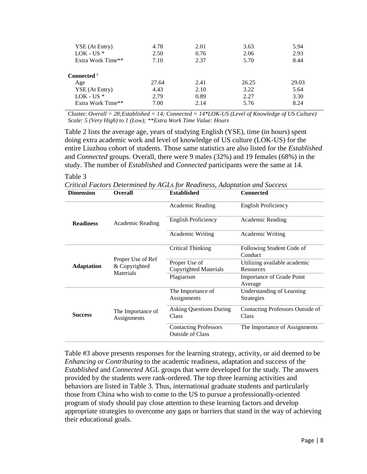| YSE (At Entry)<br>$LOK$ - US $*$<br>Extra Work Time** | 4.78<br>2.50<br>7.10 | 2.01<br>0.76<br>2.37 | 3.63<br>2.06<br>5.70 | 5.94<br>2.93<br>8.44 |
|-------------------------------------------------------|----------------------|----------------------|----------------------|----------------------|
| Connected <sup>c</sup>                                |                      |                      |                      |                      |
| Age                                                   | 27.64                | 2.41                 | 26.25                | 29.03                |
| YSE (At Entry)                                        | 4.43                 | 2.10                 | 3.22                 | 5.64                 |
| $LOK$ - US $*$                                        | 2.79                 | 0.89                 | 2.27                 | 3.30                 |
| Extra Work Time**                                     | 7.00                 | 2.14                 | 5.76                 | 8.24                 |

Cluster: *Overall = 28;Established = 14; Connected = 14\*LOK-US (Level of Knowledge of US Culture) Scale: 5 (Very High) to 1 (Low); \*\*Extra Work Time Value: Hours* 

Table 2 lists the average age, years of studying English (YSE), time (in hours) spent doing extra academic work and level of knowledge of US culture (LOK-US) for the entire Liuzhou cohort of students. Those same statistics are also listed for the *Established*  and *Connected* groups. Overall, there were 9 males (32%) and 19 females (68%) in the study. The number of *Established* and *Connected* participants were the same at 14.

#### Table 3

*Critical Factors Determined by AGLs for Readiness, Adaptation and Success* 

| <b>Dimension</b>  | <b>Overall</b>                                  | <b>Established</b>                                      | <b>Connected</b>                     |
|-------------------|-------------------------------------------------|---------------------------------------------------------|--------------------------------------|
| <b>Readiness</b>  | Academic Reading                                | Academic Reading                                        | <b>English Proficiency</b>           |
|                   |                                                 | English Proficiency                                     | Academic Reading                     |
|                   |                                                 | Academic Writing                                        | <b>Academic Writing</b>              |
|                   | Proper Use of Ref<br>& Copyrighted<br>Materials | <b>Critical Thinking</b>                                | Following Student Code of<br>Conduct |
|                   |                                                 | Proper Use of                                           | Utilizing available academic         |
| <b>Adaptation</b> |                                                 | Copyrighted Materials                                   | Resources                            |
|                   |                                                 | Plagiarism                                              | <b>Importance of Grade Point</b>     |
|                   |                                                 |                                                         | Average                              |
| <b>Success</b>    | The Importance of<br>Assignments                | The Importance of                                       | <b>Understanding of Learning</b>     |
|                   |                                                 | Assignments                                             | <b>Strategies</b>                    |
|                   |                                                 | <b>Asking Questions During</b>                          | Contacting Professors Outside of     |
|                   |                                                 | Class                                                   | Class                                |
|                   |                                                 | <b>Contacting Professors</b><br><b>Outside of Class</b> | The Importance of Assignments        |

Table #3 above presents responses for the learning strategy, activity, or aid deemed to be *Enhancing* or *Contributing* to the academic readiness, adaptation and success of the *Established* and *Connected* AGL groups that were developed for the study. The answers provided by the students were rank-ordered. The top three learning activities and behaviors are listed in Table 3. Thus, international graduate students and particularly those from China who wish to come to the US to pursue a professionally-oriented program of study should pay close attention to these learning factors and develop appropriate strategies to overcome any gaps or barriers that stand in the way of achieving their educational goals.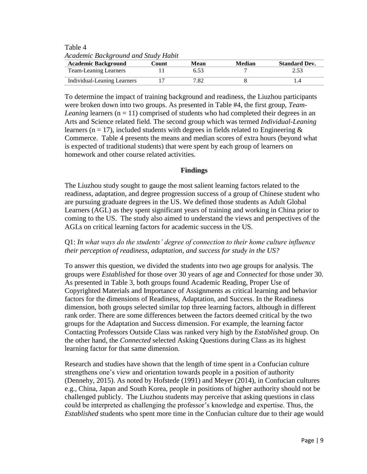Table 4 *Academic Background and Study Habit* 

| <b>Academic Background</b>   | Count | Mean | <b>Median</b> | <b>Standard Dev.</b> |
|------------------------------|-------|------|---------------|----------------------|
| <b>Team-Leaning Learners</b> |       |      |               |                      |
| Individual-Leaning Learners  |       | 7.82 |               |                      |

To determine the impact of training background and readiness, the Liuzhou participants were broken down into two groups. As presented in Table #4, the first group, *Team-Leaning* learners  $(n = 11)$  comprised of students who had completed their degrees in an Arts and Science related field. The second group which was termed *Individual-Leaning* learners ( $n = 17$ ), included students with degrees in fields related to Engineering & Commerce. Table 4 presents the means and median scores of extra hours (beyond what is expected of traditional students) that were spent by each group of learners on homework and other course related activities.

#### **Findings**

The Liuzhou study sought to gauge the most salient learning factors related to the readiness, adaptation, and degree progression success of a group of Chinese student who are pursuing graduate degrees in the US. We defined those students as Adult Global Learners (AGL) as they spent significant years of training and working in China prior to coming to the US. The study also aimed to understand the views and perspectives of the AGLs on critical learning factors for academic success in the US.

#### Q1: *In what ways do the students' degree of connection to their home culture influence their perception of readiness, adaptation, and success for study in the US?*

To answer this question, we divided the students into two age groups for analysis. The groups were *Established* for those over 30 years of age and *Connected* for those under 30. As presented in Table 3, both groups found Academic Reading, Proper Use of Copyrighted Materials and Importance of Assignments as critical learning and behavior factors for the dimensions of Readiness, Adaptation, and Success. In the Readiness dimension, both groups selected similar top three learning factors, although in different rank order. There are some differences between the factors deemed critical by the two groups for the Adaptation and Success dimension. For example, the learning factor Contacting Professors Outside Class was ranked very high by the *Established* group. On the other hand, the *Connected* selected Asking Questions during Class as its highest learning factor for that same dimension.

Research and studies have shown that the length of time spent in a Confucian culture strengthens one's view and orientation towards people in a position of authority (Dennehy, 2015). As noted by Hofstede (1991) and Meyer (2014), in Confucian cultures e.g., China, Japan and South Korea, people in positions of higher authority should not be challenged publicly. The Liuzhou students may perceive that asking questions in class could be interpreted as challenging the professor's knowledge and expertise. Thus, the *Established* students who spent more time in the Confucian culture due to their age would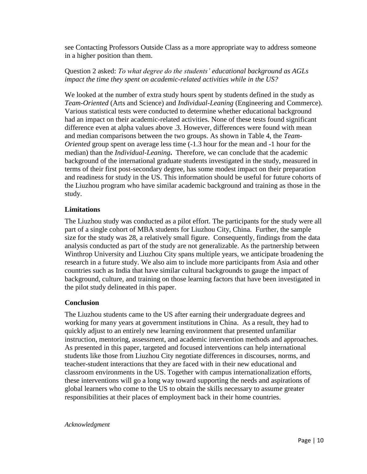see Contacting Professors Outside Class as a more appropriate way to address someone in a higher position than them.

### Question 2 asked: *To what degree do the students' educational background as AGLs impact the time they spent on academic-related activities while in the US?*

We looked at the number of extra study hours spent by students defined in the study as *Team-Oriented* (Arts and Science) and *Individual-Leaning* (Engineering and Commerce). Various statistical tests were conducted to determine whether educational background had an impact on their academic-related activities. None of these tests found significant difference even at alpha values above .3. However, differences were found with mean and median comparisons between the two groups. As shown in Table 4, the *Team-Oriented* group spent on average less time (-1.3 hour for the mean and -1 hour for the median) than the *Individual-Leaning***.** Therefore, we can conclude that the academic background of the international graduate students investigated in the study, measured in terms of their first post-secondary degree, has some modest impact on their preparation and readiness for study in the US. This information should be useful for future cohorts of the Liuzhou program who have similar academic background and training as those in the study.

#### **Limitations**

The Liuzhou study was conducted as a pilot effort. The participants for the study were all part of a single cohort of MBA students for Liuzhou City, China. Further, the sample size for the study was 28, a relatively small figure. Consequently, findings from the data analysis conducted as part of the study are not generalizable. As the partnership between Winthrop University and Liuzhou City spans multiple years, we anticipate broadening the research in a future study. We also aim to include more participants from Asia and other countries such as India that have similar cultural backgrounds to gauge the impact of background, culture, and training on those learning factors that have been investigated in the pilot study delineated in this paper.

## **Conclusion**

The Liuzhou students came to the US after earning their undergraduate degrees and working for many years at government institutions in China. As a result, they had to quickly adjust to an entirely new learning environment that presented unfamiliar instruction, mentoring, assessment, and academic intervention methods and approaches. As presented in this paper, targeted and focused interventions can help international students like those from Liuzhou City negotiate differences in discourses, norms, and teacher-student interactions that they are faced with in their new educational and classroom environments in the US. Together with campus internationalization efforts, these interventions will go a long way toward supporting the needs and aspirations of global learners who come to the US to obtain the skills necessary to assume greater responsibilities at their places of employment back in their home countries.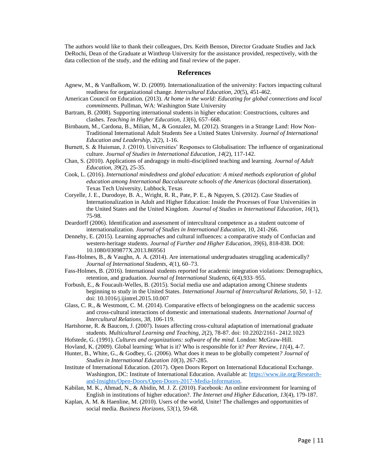The authors would like to thank their colleagues, Drs. Keith Benson, Director Graduate Studies and Jack DeRochi, Dean of the Graduate at Winthrop University for the assistance provided, respectively, with the data collection of the study, and the editing and final review of the paper.

#### **References**

- Agnew, M., & VanBalkom, W. D. (2009). Internationalization of the university: Factors impacting cultural readiness for organizational change. *Intercultural Education, 20*(5), 451-462.
- American Council on Education. (2013). *At home in the world: Educating for global connections and local commitments*. Pullman, WA: Washington State University
- Bartram, B. (2008). Supporting international students in higher education: Constructions, cultures and clashes. *Teaching in Higher Education, 13*(6), 657–668.
- Birnbaum, M., Cardona, B., Milian, M., & Gonzalez, M. (2012). Strangers in a Strange Land: How Non-Traditional International Adult Students See a United States University. *Journal of International Education and Leadership, 2*(2), 1-16.
- Burnett, S. & Huisman, J. (2010). Universities' Responses to Globalisation: The influence of organizational culture. *Journal of Studies in International Education, 14*(2), 117-142.
- Chan, S. (2010). Applications of andragogy in multi-disciplined teaching and learning. *Journal of Adult Education, 39*(2), 25-35.
- Cook, L. (2016). *International mindedness and global education: A mixed methods exploration of global education among International Baccalaureate schools of the Americas* (doctoral dissertation). Texas Tech University, Lubbock, Texas
- Coryelle, J. E., Durodoye, B. A., Wright, R. R., Pate, P. E., & Nguyen, S. (2012). Case Studies of Internationalization in Adult and Higher Education: Inside the Processes of Four Universities in the United States and the United Kingdom. *Journal of Studies in International Education*, *16*(1), 75-98.
- Deardorff (2006). Identification and assessment of intercultural competence as a student outcome of internationalization. *Journal of Studies in International Education,* 10, 241-266.
- Dennehy, E. (2015). Learning approaches and cultural influences: a comparative study of Confucian and western-heritage students. *Journal of Further and Higher Education, 39*(6), 818-838. DOI: 10.1080/0309877X.2013.869561
- Fass-Holmes, B., & Vaughn, A. A. (2014). Are international undergraduates struggling academically? *Journal of International Students, 4*(1), 60–73.
- Fass-Holmes, B. (2016). International students reported for academic integration violations: Demographics, retention, and graduation. *Journal of International Students, 6*(4),933–955.
- Forbush, E., & Foucault-Welles, B. (2015). Social media use and adaptation among Chinese students beginning to study in the United States. *International Journal of Intercultural Relations, 50*, 1–12. doi: 10.1016/j.ijintrel.2015.10.007
- Glass, C. R., & Westmont, C. M. (2014). Comparative effects of belongingness on the academic success and cross-cultural interactions of domestic and international students. *International Journal of Intercultural Relations, 38*, 106-119.
- Hartshorne, R. & Baucom, J. (2007). Issues affecting cross-cultural adaptation of international graduate students. *Multicultural Learning and Teaching, 2*(2), 78-87. doi: 10.2202/2161- 2412.1023
- Hofstede, G. (1991). *Cultures and organizations: software of the mind*. London: McGraw-Hill.
- Hovland, K. (2009). Global learning: What is it? Who is responsible for it? *Peer Review, 11*(4), 4-7.
- Hunter, B., White, G., & Godbey, G. (2006). What does it mean to be globally competent*? Journal of Studies in International Education 10*(3), 267-285.
- Institute of International Education. (2017). Open Doors Report on International Educational Exchange. Washington, DC: Institute of International Education. Available at: [https://www.iie.org/Research](https://www.iie.org/Research-and-Insights/Open-Doors/Open-Doors-2017-Media-Information)[and-Insights/Open-Doors/Open-Doors-2017-Media-Information.](https://www.iie.org/Research-and-Insights/Open-Doors/Open-Doors-2017-Media-Information)
- Kabilan, M. K., Ahmad, N., & Abidin, M. J. Z. (2010). Facebook: An online environment for learning of English in institutions of higher education?. *The Internet and Higher Education, 13*(4), 179-187.
- Kaplan, A. M. & Haenline, M. (2010). Users of the world, Unite! The challenges and opportunities of social media. *Business Horizons, 53*(1), 59-68.